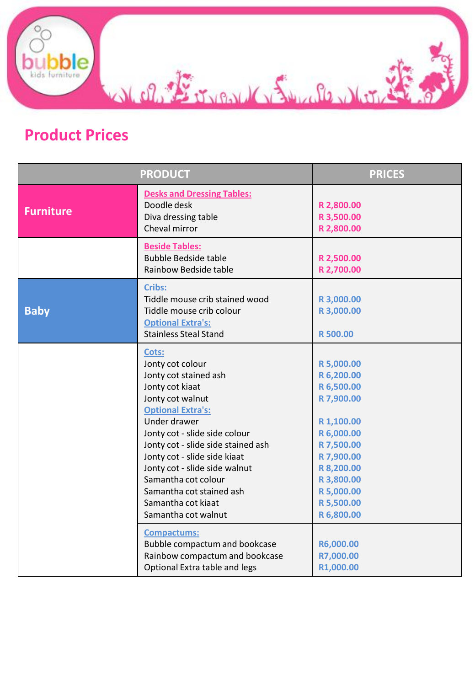

## **Product Prices**

| <b>PRODUCT</b>   |                                                                                                                                                                                                                                                                                                                                                                                                     | <b>PRICES</b>                                                                                                                                                                      |
|------------------|-----------------------------------------------------------------------------------------------------------------------------------------------------------------------------------------------------------------------------------------------------------------------------------------------------------------------------------------------------------------------------------------------------|------------------------------------------------------------------------------------------------------------------------------------------------------------------------------------|
| <b>Furniture</b> | <b>Desks and Dressing Tables:</b><br>Doodle desk<br>Diva dressing table<br>Cheval mirror                                                                                                                                                                                                                                                                                                            | R 2,800.00<br>R 3,500.00<br>R 2,800.00                                                                                                                                             |
|                  | <b>Beside Tables:</b><br><b>Bubble Bedside table</b><br>Rainbow Bedside table                                                                                                                                                                                                                                                                                                                       | R 2,500.00<br>R 2,700.00                                                                                                                                                           |
| <b>Baby</b>      | <b>Cribs:</b><br>Tiddle mouse crib stained wood<br>Tiddle mouse crib colour<br><b>Optional Extra's:</b><br><b>Stainless Steal Stand</b>                                                                                                                                                                                                                                                             | R 3,000.00<br>R 3,000.00<br>R 500.00                                                                                                                                               |
|                  | Cots:<br>Jonty cot colour<br>Jonty cot stained ash<br>Jonty cot kiaat<br>Jonty cot walnut<br><b>Optional Extra's:</b><br>Under drawer<br>Jonty cot - slide side colour<br>Jonty cot - slide side stained ash<br>Jonty cot - slide side kiaat<br>Jonty cot - slide side walnut<br>Samantha cot colour<br>Samantha cot stained ash<br>Samantha cot kiaat<br>Samantha cot walnut<br><b>Compactums:</b> | R 5,000.00<br>R 6,200.00<br>R 6,500.00<br>R 7,900.00<br>R 1,100.00<br>R 6,000.00<br>R 7,500.00<br>R 7,900.00<br>R 8,200.00<br>R 3,800.00<br>R 5,000.00<br>R 5,500.00<br>R 6,800.00 |
|                  | Bubble compactum and bookcase<br>Rainbow compactum and bookcase<br>Optional Extra table and legs                                                                                                                                                                                                                                                                                                    | R6,000.00<br>R7,000.00<br>R1,000.00                                                                                                                                                |